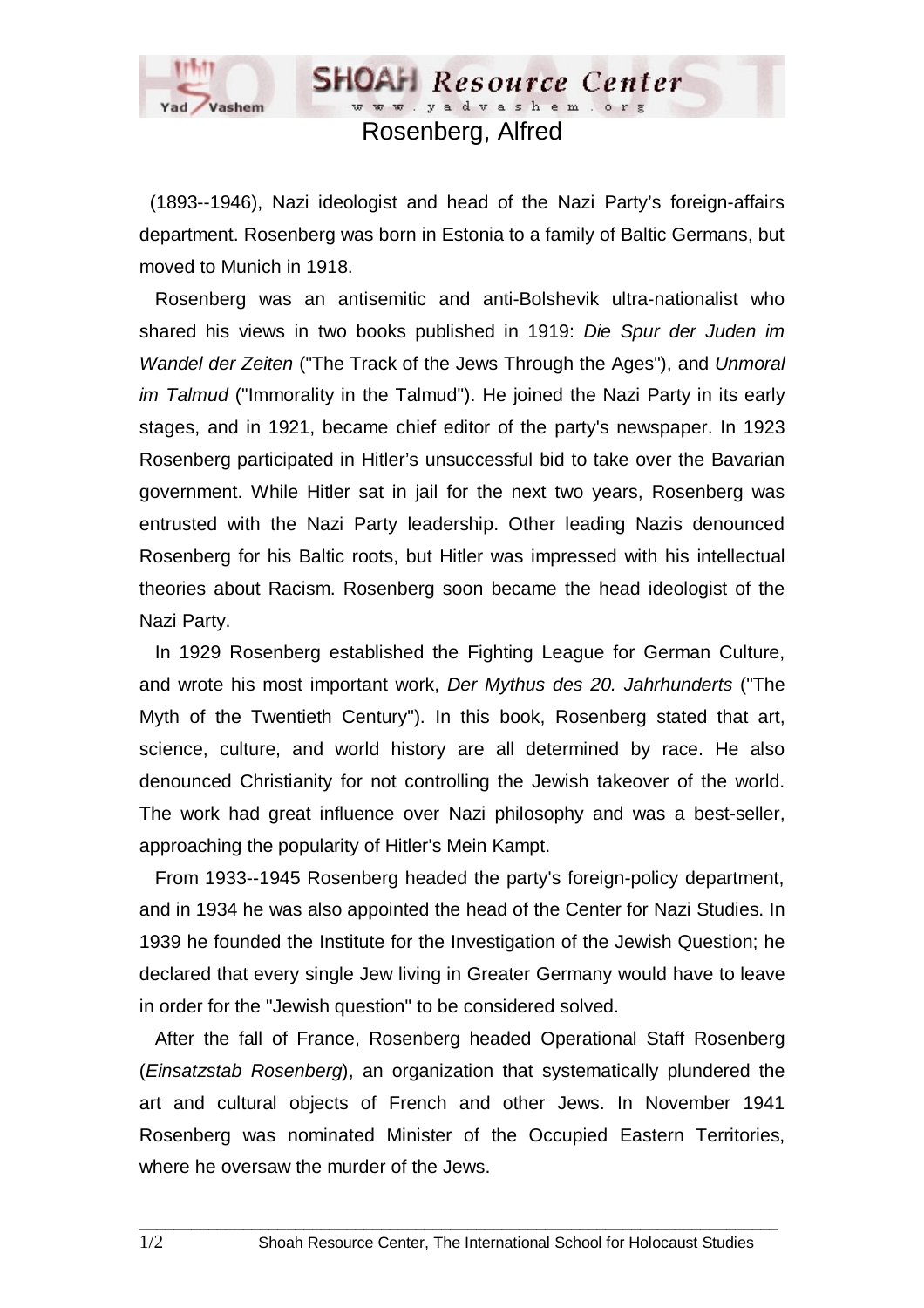

## Rosenberg, Alfred

**SHOAH** Resource Center www.yadvashem.org

 (1893--1946), Nazi ideologist and head of the Nazi Party's foreign-affairs department. Rosenberg was born in Estonia to a family of Baltic Germans, but moved to Munich in 1918.

 Rosenberg was an antisemitic and anti-Bolshevik ultra-nationalist who shared his views in two books published in 1919: *Die Spur der Juden im Wandel der Zeiten* ("The Track of the Jews Through the Ages"), and *Unmoral im Talmud* ("Immorality in the Talmud"). He joined the Nazi Party in its early stages, and in 1921, became chief editor of the party's newspaper. In 1923 Rosenberg participated in Hitler's unsuccessful bid to take over the Bavarian government. While Hitler sat in jail for the next two years, Rosenberg was entrusted with the Nazi Party leadership. Other leading Nazis denounced Rosenberg for his Baltic roots, but Hitler was impressed with his intellectual theories about Racism. Rosenberg soon became the head ideologist of the Nazi Party.

 In 1929 Rosenberg established the Fighting League for German Culture, and wrote his most important work, *Der Mythus des 20. Jahrhunderts* ("The Myth of the Twentieth Century"). In this book, Rosenberg stated that art, science, culture, and world history are all determined by race. He also denounced Christianity for not controlling the Jewish takeover of the world. The work had great influence over Nazi philosophy and was a best-seller, approaching the popularity of Hitler's Mein Kampt.

 From 1933--1945 Rosenberg headed the party's foreign-policy department, and in 1934 he was also appointed the head of the Center for Nazi Studies. In 1939 he founded the Institute for the Investigation of the Jewish Question; he declared that every single Jew living in Greater Germany would have to leave in order for the "Jewish question" to be considered solved.

 After the fall of France, Rosenberg headed Operational Staff Rosenberg (*Einsatzstab Rosenberg*), an organization that systematically plundered the art and cultural objects of French and other Jews. In November 1941 Rosenberg was nominated Minister of the Occupied Eastern Territories, where he oversaw the murder of the Jews.

 $\Box$  . The contribution of the contribution of the contribution of the contribution of the contribution of the contribution of the contribution of the contribution of the contribution of the contribution of the contributi